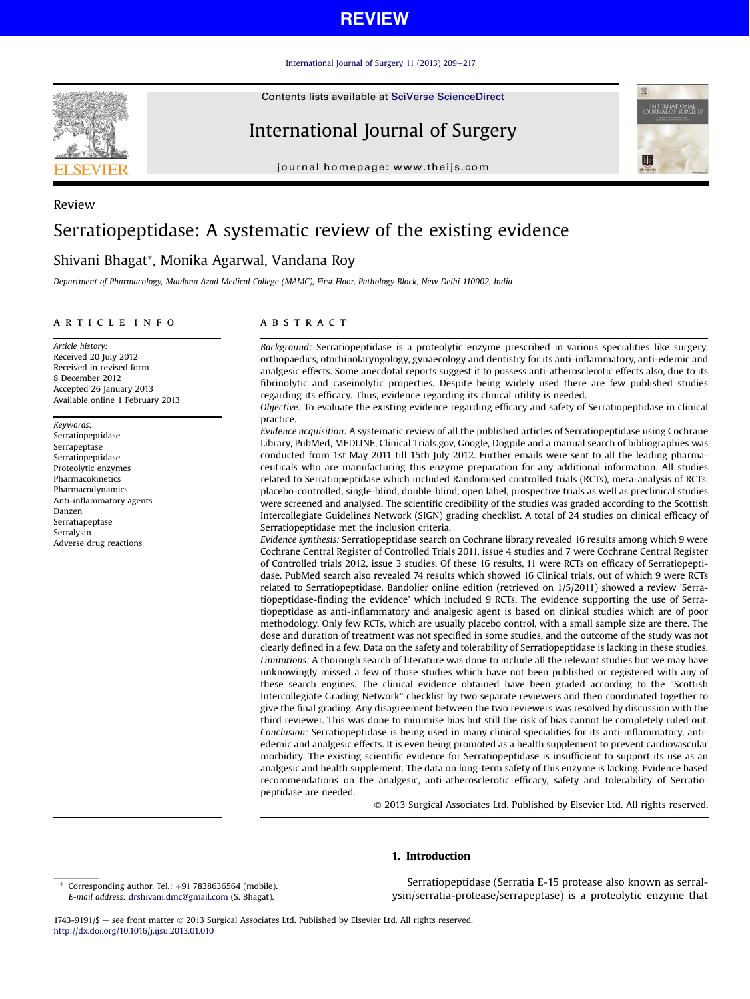[International Journal of Surgery 11 \(2013\) 209](http://dx.doi.org/10.1016/j.ijsu.2013.01.010)-[217](http://dx.doi.org/10.1016/j.ijsu.2013.01.010)

Contents lists available at SciVerse ScienceDirect

# International Journal of Surgery

journal homepage: [www.theijs.com](http://www.theijs.com)



# Serratiopeptidase: A systematic review of the existing evidence

# Shivani Bhagat\*, Monika Agarwal, Vandana Roy

Department of Pharmacology, Maulana Azad Medical College (MAMC), First Floor, Pathology Block, New Delhi 110002, India

#### article info

Article history: Received 20 July 2012 Received in revised form 8 December 2012 Accepted 26 January 2013 Available online 1 February 2013

Keywords: Serratiopeptidase Serrapeptase Serratiopeptidase Proteolytic enzymes Pharmacokinetics Pharmacodynamics Anti-inflammatory agents Danzen Serratiapeptase Serralysin Adverse drug reactions

## **ABSTRACT**

Background: Serratiopeptidase is a proteolytic enzyme prescribed in various specialities like surgery, orthopaedics, otorhinolaryngology, gynaecology and dentistry for its anti-inflammatory, anti-edemic and analgesic effects. Some anecdotal reports suggest it to possess anti-atherosclerotic effects also, due to its fibrinolytic and caseinolytic properties. Despite being widely used there are few published studies regarding its efficacy. Thus, evidence regarding its clinical utility is needed.

Objective: To evaluate the existing evidence regarding efficacy and safety of Serratiopeptidase in clinical practice.

Evidence acquisition: A systematic review of all the published articles of Serratiopeptidase using Cochrane Library, PubMed, MEDLINE, Clinical Trials.gov, Google, Dogpile and a manual search of bibliographies was conducted from 1st May 2011 till 15th July 2012. Further emails were sent to all the leading pharmaceuticals who are manufacturing this enzyme preparation for any additional information. All studies related to Serratiopeptidase which included Randomised controlled trials (RCTs), meta-analysis of RCTs, placebo-controlled, single-blind, double-blind, open label, prospective trials as well as preclinical studies were screened and analysed. The scientific credibility of the studies was graded according to the Scottish Intercollegiate Guidelines Network (SIGN) grading checklist. A total of 24 studies on clinical efficacy of Serratiopeptidase met the inclusion criteria.

Evidence synthesis: Serratiopeptidase search on Cochrane library revealed 16 results among which 9 were Cochrane Central Register of Controlled Trials 2011, issue 4 studies and 7 were Cochrane Central Register of Controlled trials 2012, issue 3 studies. Of these 16 results, 11 were RCTs on efficacy of Serratiopeptidase. PubMed search also revealed 74 results which showed 16 Clinical trials, out of which 9 were RCTs related to Serratiopeptidase. Bandolier online edition (retrieved on 1/5/2011) showed a review 'Serratiopeptidase-finding the evidence' which included 9 RCTs. The evidence supporting the use of Serratiopeptidase as anti-inflammatory and analgesic agent is based on clinical studies which are of poor methodology. Only few RCTs, which are usually placebo control, with a small sample size are there. The dose and duration of treatment was not specified in some studies, and the outcome of the study was not clearly defined in a few. Data on the safety and tolerability of Serratiopeptidase is lacking in these studies. Limitations: A thorough search of literature was done to include all the relevant studies but we may have unknowingly missed a few of those studies which have not been published or registered with any of these search engines. The clinical evidence obtained have been graded according to the "Scottish Intercollegiate Grading Network" checklist by two separate reviewers and then coordinated together to give the final grading. Any disagreement between the two reviewers was resolved by discussion with the third reviewer. This was done to minimise bias but still the risk of bias cannot be completely ruled out. Conclusion: Serratiopeptidase is being used in many clinical specialities for its anti-inflammatory, antiedemic and analgesic effects. It is even being promoted as a health supplement to prevent cardiovascular morbidity. The existing scientific evidence for Serratiopeptidase is insufficient to support its use as an analgesic and health supplement. The data on long-term safety of this enzyme is lacking. Evidence based recommendations on the analgesic, anti-atherosclerotic efficacy, safety and tolerability of Serratiopeptidase are needed.

2013 Surgical Associates Ltd. Published by Elsevier Ltd. All rights reserved.

## 1. Introduction

Serratiopeptidase (Serratia E-15 protease also known as serralysin/serratia-protease/serrapeptase) is a proteolytic enzyme that

1743-9191/\$ - see front matter © 2013 Surgical Associates Ltd. Published by Elsevier Ltd. All rights reserved. <http://dx.doi.org/10.1016/j.ijsu.2013.01.010>



Review

Corresponding author. Tel.:  $+91$  7838636564 (mobile). E-mail address: [drshivani.dmc@gmail.com](mailto:drshivani.dmc@gmail.com) (S. Bhagat).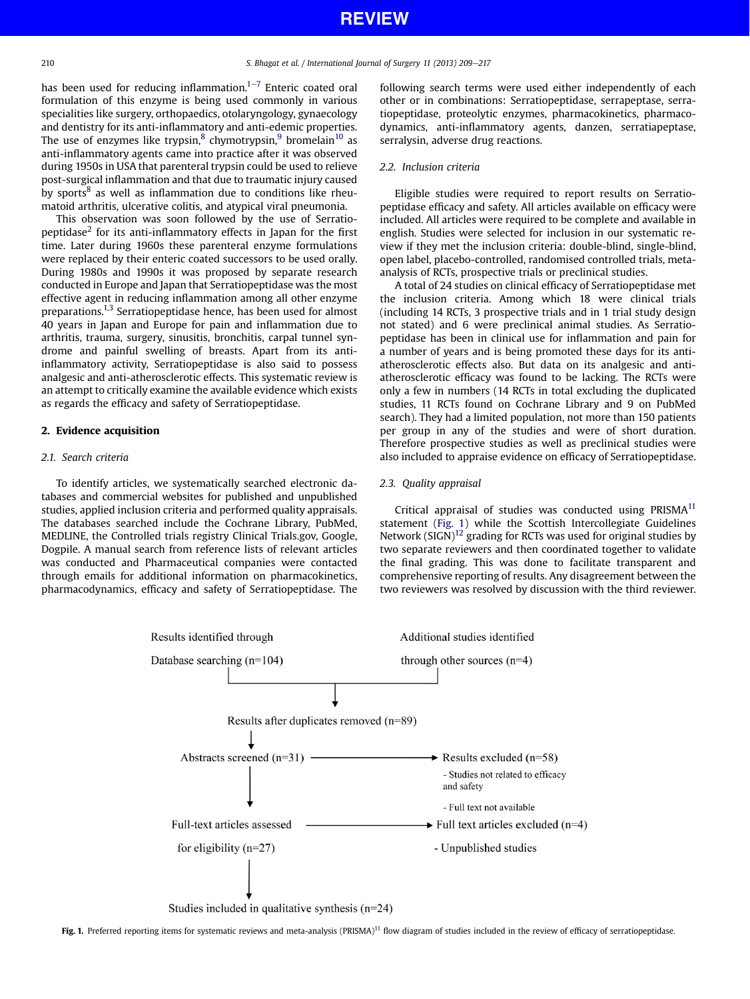has been used for reducing inflammation.<sup>1–[7](#page-7-0)</sup> Enteric coated oral formulation of this enzyme is being used commonly in various specialities like surgery, orthopaedics, otolaryngology, gynaecology and dentistry for its anti-inflammatory and anti-edemic properties. The use of enzymes like trypsin, $8$  chymotrypsin, $9$  bromelain $10$  as anti-inflammatory agents came into practice after it was observed during 1950s in USA that parenteral trypsin could be used to relieve post-surgical inflammation and that due to traumatic injury caused by sports $8$  as well as inflammation due to conditions like rheumatoid arthritis, ulcerative colitis, and atypical viral pneumonia.

This observation was soon followed by the use of Serratio-peptidase<sup>[2](#page-7-0)</sup> for its anti-inflammatory effects in Japan for the first time. Later during 1960s these parenteral enzyme formulations were replaced by their enteric coated successors to be used orally. During 1980s and 1990s it was proposed by separate research conducted in Europe and Japan that Serratiopeptidase was the most effective agent in reducing inflammation among all other enzyme preparations.[1,3](#page-7-0) Serratiopeptidase hence, has been used for almost 40 years in Japan and Europe for pain and inflammation due to arthritis, trauma, surgery, sinusitis, bronchitis, carpal tunnel syndrome and painful swelling of breasts. Apart from its antiinflammatory activity, Serratiopeptidase is also said to possess analgesic and anti-atherosclerotic effects. This systematic review is an attempt to critically examine the available evidence which exists as regards the efficacy and safety of Serratiopeptidase.

## 2. Evidence acquisition

## 2.1. Search criteria

To identify articles, we systematically searched electronic databases and commercial websites for published and unpublished studies, applied inclusion criteria and performed quality appraisals. The databases searched include the Cochrane Library, PubMed, MEDLINE, the Controlled trials registry Clinical Trials.gov, Google, Dogpile. A manual search from reference lists of relevant articles was conducted and Pharmaceutical companies were contacted through emails for additional information on pharmacokinetics, pharmacodynamics, efficacy and safety of Serratiopeptidase. The following search terms were used either independently of each other or in combinations: Serratiopeptidase, serrapeptase, serratiopeptidase, proteolytic enzymes, pharmacokinetics, pharmacodynamics, anti-inflammatory agents, danzen, serratiapeptase, serralysin, adverse drug reactions.

#### 2.2. Inclusion criteria

Eligible studies were required to report results on Serratiopeptidase efficacy and safety. All articles available on efficacy were included. All articles were required to be complete and available in english. Studies were selected for inclusion in our systematic review if they met the inclusion criteria: double-blind, single-blind, open label, placebo-controlled, randomised controlled trials, metaanalysis of RCTs, prospective trials or preclinical studies.

A total of 24 studies on clinical efficacy of Serratiopeptidase met the inclusion criteria. Among which 18 were clinical trials (including 14 RCTs, 3 prospective trials and in 1 trial study design not stated) and 6 were preclinical animal studies. As Serratiopeptidase has been in clinical use for inflammation and pain for a number of years and is being promoted these days for its antiatherosclerotic effects also. But data on its analgesic and antiatherosclerotic efficacy was found to be lacking. The RCTs were only a few in numbers (14 RCTs in total excluding the duplicated studies, 11 RCTs found on Cochrane Library and 9 on PubMed search). They had a limited population, not more than 150 patients per group in any of the studies and were of short duration. Therefore prospective studies as well as preclinical studies were also included to appraise evidence on efficacy of Serratiopeptidase.

#### 2.3. Quality appraisal

Critical appraisal of studies was conducted using  $PRISMA<sup>11</sup>$ statement (Fig. 1) while the Scottish Intercollegiate Guidelines Network  $(SIGN)^{12}$  grading for RCTs was used for original studies by two separate reviewers and then coordinated together to validate the final grading. This was done to facilitate transparent and comprehensive reporting of results. Any disagreement between the two reviewers was resolved by discussion with the third reviewer.



Fig. 1. Preferred reporting items for systematic reviews and meta-analysis (PRISMA)<sup>[11](#page-7-0)</sup> flow diagram of studies included in the review of efficacy of serratiopeptidase.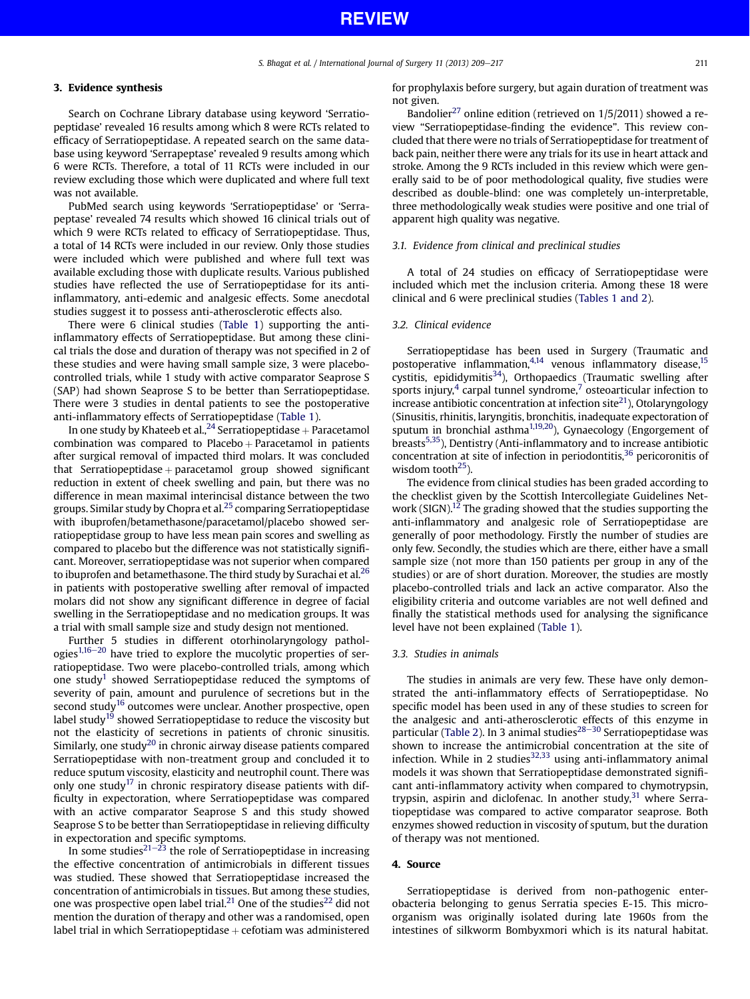## 3. Evidence synthesis

Search on Cochrane Library database using keyword 'Serratiopeptidase' revealed 16 results among which 8 were RCTs related to efficacy of Serratiopeptidase. A repeated search on the same database using keyword 'Serrapeptase' revealed 9 results among which 6 were RCTs. Therefore, a total of 11 RCTs were included in our review excluding those which were duplicated and where full text was not available.

PubMed search using keywords 'Serratiopeptidase' or 'Serrapeptase' revealed 74 results which showed 16 clinical trials out of which 9 were RCTs related to efficacy of Serratiopeptidase. Thus, a total of 14 RCTs were included in our review. Only those studies were included which were published and where full text was available excluding those with duplicate results. Various published studies have reflected the use of Serratiopeptidase for its antiinflammatory, anti-edemic and analgesic effects. Some anecdotal studies suggest it to possess anti-atherosclerotic effects also.

There were 6 clinical studies [\(Table 1](#page-3-0)) supporting the antiinflammatory effects of Serratiopeptidase. But among these clinical trials the dose and duration of therapy was not specified in 2 of these studies and were having small sample size, 3 were placebocontrolled trials, while 1 study with active comparator Seaprose S (SAP) had shown Seaprose S to be better than Serratiopeptidase. There were 3 studies in dental patients to see the postoperative anti-inflammatory effects of Serratiopeptidase ([Table 1\)](#page-3-0).

In one study by Khateeb et al.,  $^{24}$  Serratiopeptidase + Paracetamol combination was compared to  $Placebo + Parameter$  Paracetamol in patients after surgical removal of impacted third molars. It was concluded that Serratiopeptidase  $+$  paracetamol group showed significant reduction in extent of cheek swelling and pain, but there was no difference in mean maximal interincisal distance between the two groups. Similar study by Chopra et al. $^{25}$  $^{25}$  $^{25}$  comparing Serratiopeptidase with ibuprofen/betamethasone/paracetamol/placebo showed serratiopeptidase group to have less mean pain scores and swelling as compared to placebo but the difference was not statistically significant. Moreover, serratiopeptidase was not superior when compared to ibuprofen and betamethasone. The third study by Surachai et al. $^{26}$  $^{26}$  $^{26}$ in patients with postoperative swelling after removal of impacted molars did not show any significant difference in degree of facial swelling in the Serratiopeptidase and no medication groups. It was a trial with small sample size and study design not mentioned.

Further 5 studies in different otorhinolaryngology pathologies $1,16-20$  $1,16-20$  $1,16-20$  have tried to explore the mucolytic properties of serratiopeptidase. Two were placebo-controlled trials, among which one study<sup>1</sup> showed Serratiopeptidase reduced the symptoms of severity of pain, amount and purulence of secretions but in the second study<sup>16</sup> outcomes were unclear. Another prospective, open label study<sup>[19](#page-7-0)</sup> showed Serratiopeptidase to reduce the viscosity but not the elasticity of secretions in patients of chronic sinusitis. Similarly, one study<sup>[20](#page-7-0)</sup> in chronic airway disease patients compared Serratiopeptidase with non-treatment group and concluded it to reduce sputum viscosity, elasticity and neutrophil count. There was only one study<sup>[17](#page-7-0)</sup> in chronic respiratory disease patients with difficulty in expectoration, where Serratiopeptidase was compared with an active comparator Seaprose S and this study showed Seaprose S to be better than Serratiopeptidase in relieving difficulty in expectoration and specific symptoms.

In some studies<sup>[21](#page-7-0)-[23](#page-7-0)</sup> the role of Serratiopeptidase in increasing the effective concentration of antimicrobials in different tissues was studied. These showed that Serratiopeptidase increased the concentration of antimicrobials in tissues. But among these studies, one was prospective open label trial.<sup>[21](#page-7-0)</sup> One of the studies<sup>[22](#page-7-0)</sup> did not mention the duration of therapy and other was a randomised, open label trial in which Serratiopeptidase  $+$  cefotiam was administered for prophylaxis before surgery, but again duration of treatment was not given.

Bandolier<sup>27</sup> online edition (retrieved on  $1/5/2011$ ) showed a review "Serratiopeptidase-finding the evidence". This review concluded that there were no trials of Serratiopeptidase for treatment of back pain, neither there were any trials for its use in heart attack and stroke. Among the 9 RCTs included in this review which were generally said to be of poor methodological quality, five studies were described as double-blind: one was completely un-interpretable, three methodologically weak studies were positive and one trial of apparent high quality was negative.

#### 3.1. Evidence from clinical and preclinical studies

A total of 24 studies on efficacy of Serratiopeptidase were included which met the inclusion criteria. Among these 18 were clinical and 6 were preclinical studies ([Tables 1 and 2](#page-3-0)).

#### 3.2. Clinical evidence

Serratiopeptidase has been used in Surgery (Traumatic and postoperative inflammation, $4,14$  venous inflammatory disease, $15$  $cystitis$ , epididymitis $34$ ), Orthopaedics (Traumatic swelling after sports injury, $4$  carpal tunnel syndrome, $7$  osteoarticular infection to increase antibiotic concentration at infection site $^{21}$  $^{21}$  $^{21}$ ), Otolaryngology (Sinusitis, rhinitis, laryngitis, bronchitis, inadequate expectoration of sputum in bronchial asthma<sup>1,19,20</sup>), Gynaecology (Engorgement of breasts<sup>5,35</sup>), Dentistry (Anti-inflammatory and to increase antibiotic concentration at site of infection in periodontitis, $36$  pericoronitis of wisdom tooth $^{25}$ ).

The evidence from clinical studies has been graded according to the checklist given by the Scottish Intercollegiate Guidelines Net-work (SIGN).<sup>[12](#page-7-0)</sup> The grading showed that the studies supporting the anti-inflammatory and analgesic role of Serratiopeptidase are generally of poor methodology. Firstly the number of studies are only few. Secondly, the studies which are there, either have a small sample size (not more than 150 patients per group in any of the studies) or are of short duration. Moreover, the studies are mostly placebo-controlled trials and lack an active comparator. Also the eligibility criteria and outcome variables are not well defined and finally the statistical methods used for analysing the significance level have not been explained [\(Table 1\)](#page-3-0).

## 3.3. Studies in animals

The studies in animals are very few. These have only demonstrated the anti-inflammatory effects of Serratiopeptidase. No specific model has been used in any of these studies to screen for the analgesic and anti-atherosclerotic effects of this enzyme in particular [\(Table 2](#page-5-0)). In 3 animal studies $28-30$  $28-30$  $28-30$  Serratiopeptidase was shown to increase the antimicrobial concentration at the site of infection. While in 2 studies $32,33$  using anti-inflammatory animal models it was shown that Serratiopeptidase demonstrated significant anti-inflammatory activity when compared to chymotrypsin, trypsin, aspirin and diclofenac. In another study, $31$  where Serratiopeptidase was compared to active comparator seaprose. Both enzymes showed reduction in viscosity of sputum, but the duration of therapy was not mentioned.

## 4. Source

Serratiopeptidase is derived from non-pathogenic enterobacteria belonging to genus Serratia species E-15. This microorganism was originally isolated during late 1960s from the intestines of silkworm Bombyxmori which is its natural habitat.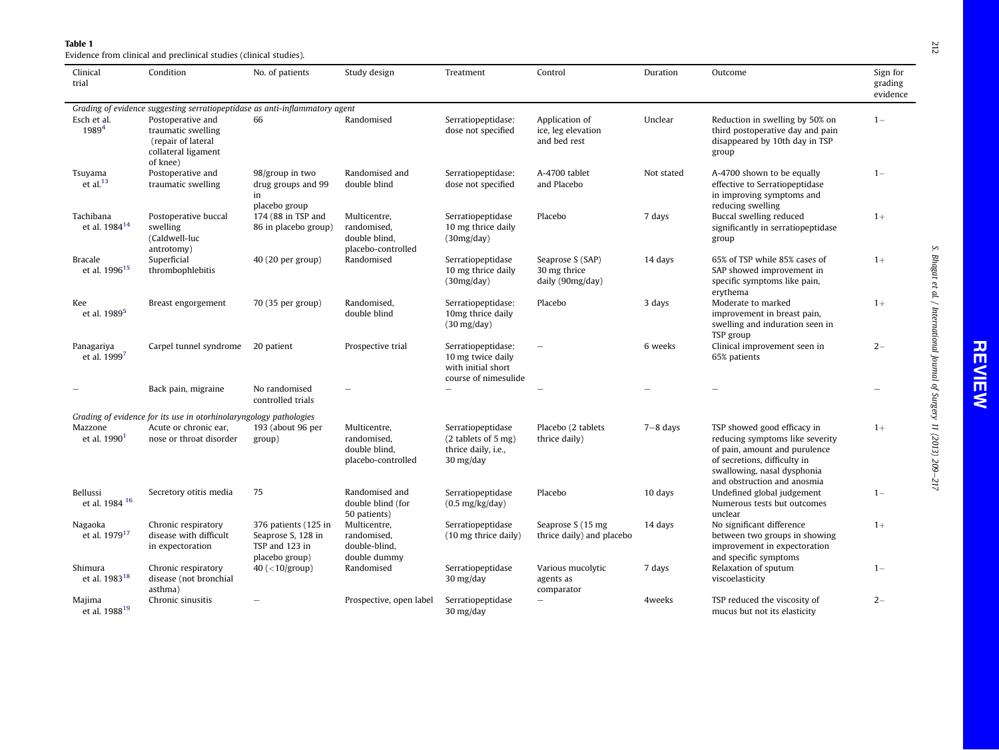<span id="page-3-0"></span>

**Table 1**<br>Evidence from clinical and preclinical studies (clinical studies).

| Clinical<br>trial                                                           | Condition                                                                                        | No. of patients                                                                | Study design                                                       | Treatment                                                                                              | Control                                              | Duration     | Outcome                                                                                                                                                                                       | Sign for<br>grading<br>evidence |  |
|-----------------------------------------------------------------------------|--------------------------------------------------------------------------------------------------|--------------------------------------------------------------------------------|--------------------------------------------------------------------|--------------------------------------------------------------------------------------------------------|------------------------------------------------------|--------------|-----------------------------------------------------------------------------------------------------------------------------------------------------------------------------------------------|---------------------------------|--|
| Grading of evidence suggesting serratiopeptidase as anti-inflammatory agent |                                                                                                  |                                                                                |                                                                    |                                                                                                        |                                                      |              |                                                                                                                                                                                               |                                 |  |
| Esch et al.<br>$1989^{4}$                                                   | Postoperative and<br>traumatic swelling<br>(repair of lateral<br>collateral ligament<br>of knee) | 66                                                                             | Randomised                                                         | Serratiopeptidase:<br>dose not specified                                                               | Application of<br>ice, leg elevation<br>and bed rest | Unclear      | Reduction in swelling by 50% on<br>third postoperative day and pain<br>disappeared by 10th day in TSP<br>group                                                                                | $1 -$                           |  |
| Tsuyama<br>et al. $^{13}$                                                   | Postoperative and<br>traumatic swelling                                                          | 98/group in two<br>drug groups and 99<br>in<br>placebo group                   | Randomised and<br>double blind                                     | Serratiopeptidase:<br>dose not specified                                                               | A-4700 tablet<br>and Placebo                         | Not stated   | A-4700 shown to be equally<br>effective to Serratiopeptidase<br>in improving symptoms and<br>reducing swelling                                                                                | $1 -$                           |  |
| Tachibana<br>et al. 1984 <sup>14</sup>                                      | Postoperative buccal<br>swelling<br>(Caldwell-luc<br>antrotomy)                                  | 174 (88 in TSP and<br>86 in placebo group)                                     | Multicentre,<br>randomised,<br>double blind,<br>placebo-controlled | Serratiopeptidase<br>10 mg thrice daily<br>(30mg/day)                                                  | Placebo                                              | 7 days       | Buccal swelling reduced<br>significantly in serratiopeptidase<br>group                                                                                                                        | $1+$                            |  |
| <b>Bracale</b><br>et al. 1996 <sup>15</sup>                                 | Superficial<br>thrombophlebitis                                                                  | 40 (20 per group)                                                              | Randomised                                                         | Serratiopeptidase<br>10 mg thrice daily<br>(30mg/day)                                                  | Seaprose S (SAP)<br>30 mg thrice<br>daily (90mg/day) | 14 days      | 65% of TSP while 85% cases of<br>SAP showed improvement in<br>specific symptoms like pain,<br>erythema                                                                                        | $1+$                            |  |
| Kee<br>et al. 1989 <sup>5</sup>                                             | Breast engorgement                                                                               | 70 (35 per group)                                                              | Randomised,<br>double blind                                        | Serratiopeptidase:<br>10mg thrice daily<br>$(30 \text{ mg/day})$                                       | Placebo                                              | 3 days       | Moderate to marked<br>improvement in breast pain,<br>swelling and induration seen in<br>TSP group                                                                                             | $1+$                            |  |
| Panagariya<br>et al. $1999^{7}$                                             | Carpel tunnel syndrome                                                                           | 20 patient                                                                     | Prospective trial                                                  | Serratiopeptidase:<br>10 mg twice daily<br>with initial short<br>course of nimesulide                  | $\hspace{1.0cm} \rule{1.5cm}{0.15cm}$                | 6 weeks      | Clinical improvement seen in<br>65% patients                                                                                                                                                  | $2 -$                           |  |
|                                                                             | Back pain, migraine                                                                              | No randomised<br>controlled trials                                             |                                                                    |                                                                                                        |                                                      |              |                                                                                                                                                                                               |                                 |  |
|                                                                             | Grading of evidence for its use in otorhinolaryngology pathologies                               |                                                                                |                                                                    |                                                                                                        |                                                      |              |                                                                                                                                                                                               |                                 |  |
| Mazzone<br>et al. 1990 <sup>1</sup>                                         | Acute or chronic ear,<br>nose or throat disorder                                                 | 193 (about 96 per<br>group)                                                    | Multicentre,<br>randomised,<br>double blind,<br>placebo-controlled | Serratiopeptidase<br>$(2$ tablets of 5 mg)<br>thrice daily, i.e.,<br>$30 \frac{\text{mg}}{\text{day}}$ | Placebo (2 tablets<br>thrice daily)                  | $7 - 8$ days | TSP showed good efficacy in<br>reducing symptoms like severity<br>of pain, amount and purulence<br>of secretions, difficulty in<br>swallowing, nasal dysphonia<br>and obstruction and anosmia | $1+$                            |  |
| Bellussi<br>et al. 1984 <sup>16</sup>                                       | Secretory otitis media                                                                           | 75                                                                             | Randomised and<br>double blind (for<br>50 patients)                | Serratiopeptidase<br>$(0.5 \text{ mg/kg/day})$                                                         | Placebo                                              | 10 days      | Undefined global judgement<br>Numerous tests but outcomes<br>unclear                                                                                                                          | $1 -$                           |  |
| Nagaoka<br>et al. 1979 <sup>17</sup>                                        | Chronic respiratory<br>disease with difficult<br>in expectoration                                | 376 patients (125 in<br>Seaprose S, 128 in<br>TSP and 123 in<br>placebo group) | Multicentre,<br>randomised,<br>double-blind,<br>double dummy       | Serratiopeptidase<br>$(10 \text{ mg}$ thrice daily)                                                    | Seaprose S (15 mg<br>thrice daily) and placebo       | 14 days      | No significant difference<br>between two groups in showing<br>improvement in expectoration<br>and specific symptoms                                                                           | $1+$                            |  |
| Shimura<br>et al. 1983 <sup>18</sup>                                        | Chronic respiratory<br>disease (not bronchial<br>asthma)                                         | 40 $(<$ 10/group)                                                              | Randomised                                                         | Serratiopeptidase<br>$30 \frac{\text{mg}}{\text{day}}$                                                 | Various mucolytic<br>agents as<br>comparator         | 7 days       | Relaxation of sputum<br>viscoelasticity                                                                                                                                                       | $1 -$                           |  |
| Majima<br>et al. 1988 <sup>19</sup>                                         | Chronic sinusitis                                                                                |                                                                                | Prospective, open label                                            | Serratiopeptidase<br>30 mg/day                                                                         | $\overline{\phantom{a}}$                             | 4weeks       | TSP reduced the viscosity of<br>mucus but not its elasticity                                                                                                                                  | $2 -$                           |  |

**212** e217 212

S. Bhagat et al. / International Journal of Surgery 11 (2013) 209

S. Bhagat et al. / International Journal of Surgery 11  $(2013)$  209–217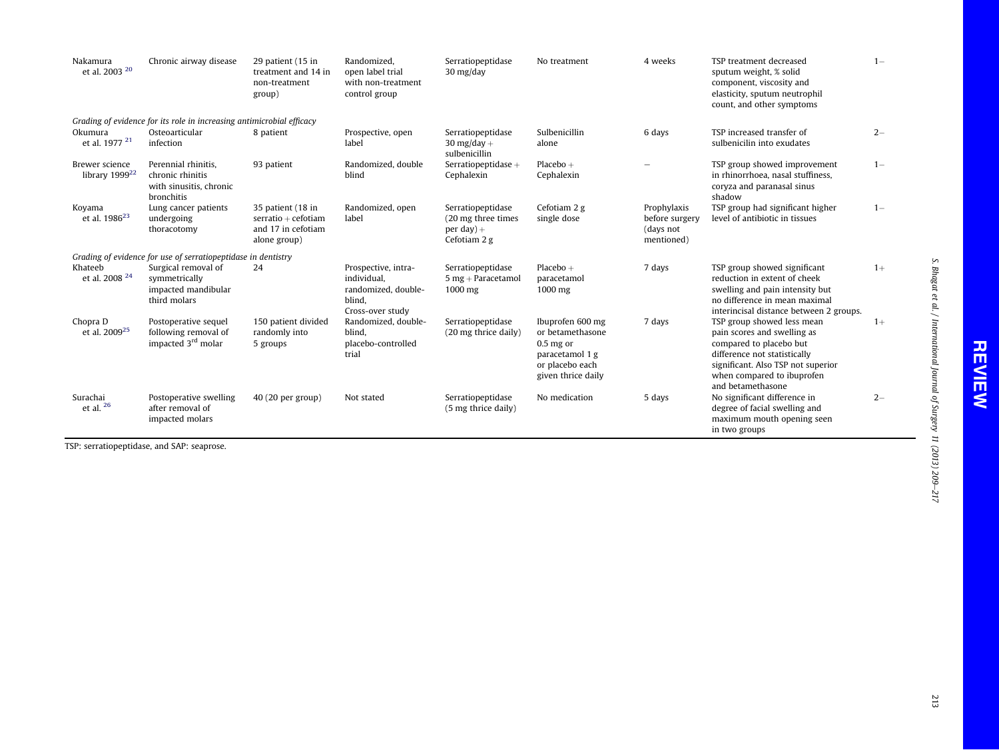| Nakamura<br>et al. 2003 $^{20}$              | Chronic airway disease                                                           | 29 patient (15 in<br>treatment and 14 in<br>non-treatment<br>group)               | Randomized.<br>open label trial<br>with non-treatment<br>control group                  | Serratiopeptidase<br>$30 \frac{\text{mg}}{\text{day}}$                   | No treatment                                                                                                    | 4 weeks                                                  | TSP treatment decreased<br>sputum weight, % solid<br>component, viscosity and<br>elasticity, sputum neutrophil<br>count, and other symptoms                                                                   | $1 -$ |
|----------------------------------------------|----------------------------------------------------------------------------------|-----------------------------------------------------------------------------------|-----------------------------------------------------------------------------------------|--------------------------------------------------------------------------|-----------------------------------------------------------------------------------------------------------------|----------------------------------------------------------|---------------------------------------------------------------------------------------------------------------------------------------------------------------------------------------------------------------|-------|
|                                              | Grading of evidence for its role in increasing antimicrobial efficacy            |                                                                                   |                                                                                         |                                                                          |                                                                                                                 |                                                          |                                                                                                                                                                                                               |       |
| Okumura<br>et al. 1977 <sup>21</sup>         | Osteoarticular<br>infection                                                      | 8 patient                                                                         | Prospective, open<br>label                                                              | Serratiopeptidase<br>30 mg/day $+$<br>sulbenicillin                      | Sulbenicillin<br>alone                                                                                          | 6 days                                                   | TSP increased transfer of<br>sulbenicilin into exudates                                                                                                                                                       | $2 -$ |
| Brewer science<br>library 1999 <sup>22</sup> | Perennial rhinitis.<br>chronic rhinitis<br>with sinusitis, chronic<br>bronchitis | 93 patient                                                                        | Randomized, double<br>blind                                                             | Serratiopeptidase $+$<br>Cephalexin                                      | $Placebo +$<br>Cephalexin                                                                                       |                                                          | TSP group showed improvement<br>in rhinorrhoea, nasal stuffiness.<br>coryza and paranasal sinus<br>shadow                                                                                                     | $1 -$ |
| Koyama<br>et al. $1986^{23}$                 | Lung cancer patients<br>undergoing<br>thoracotomy                                | 35 patient (18 in<br>$s$ erratio + cefotiam<br>and 17 in cefotiam<br>alone group) | Randomized, open<br>label                                                               | Serratiopeptidase<br>(20 mg three times)<br>per day $)+$<br>Cefotiam 2 g | Cefotiam 2 g<br>single dose                                                                                     | Prophylaxis<br>before surgery<br>(days not<br>mentioned) | TSP group had significant higher<br>level of antibiotic in tissues                                                                                                                                            | $1 -$ |
|                                              | Grading of evidence for use of serratiopeptidase in dentistry                    |                                                                                   |                                                                                         |                                                                          |                                                                                                                 |                                                          |                                                                                                                                                                                                               |       |
| Khateeb<br>et al. 2008 $^{24}$               | Surgical removal of<br>symmetrically<br>impacted mandibular<br>third molars      | 24                                                                                | Prospective, intra-<br>individual,<br>randomized, double-<br>blind.<br>Cross-over study | Serratiopeptidase<br>$5$ mg + Paracetamol<br>$1000$ mg                   | $Placebo +$<br>paracetamol<br>$1000$ mg                                                                         | 7 days                                                   | TSP group showed significant<br>reduction in extent of cheek<br>swelling and pain intensity but<br>no difference in mean maximal<br>interincisal distance between 2 groups.                                   | $1+$  |
| Chopra D<br>et al. 2009 <sup>25</sup>        | Postoperative sequel<br>following removal of<br>impacted 3 <sup>rd</sup> molar   | 150 patient divided<br>randomly into<br>5 groups                                  | Randomized, double-<br>blind,<br>placebo-controlled<br>trial                            | Serratiopeptidase<br>(20 mg thrice daily)                                | Ibuprofen 600 mg<br>or betamethasone<br>$0.5$ mg or<br>paracetamol 1 g<br>or placebo each<br>given thrice daily | 7 days                                                   | TSP group showed less mean<br>pain scores and swelling as<br>compared to placebo but<br>difference not statistically<br>significant. Also TSP not superior<br>when compared to ibuprofen<br>and betamethasone | $1+$  |
| Surachai<br>et al. $26$                      | Postoperative swelling<br>after removal of<br>impacted molars                    | $40(20$ per group)                                                                | Not stated                                                                              | Serratiopeptidase<br>(5 mg thrice daily)                                 | No medication                                                                                                   | 5 days                                                   | No significant difference in<br>degree of facial swelling and<br>maximum mouth opening seen<br>in two groups                                                                                                  | $2 -$ |

TSP: serratiopeptidase, and SAP: seaprose.

S. Bhagat et al. / International Journal of Surgery 11 (2013) 209

 $-217$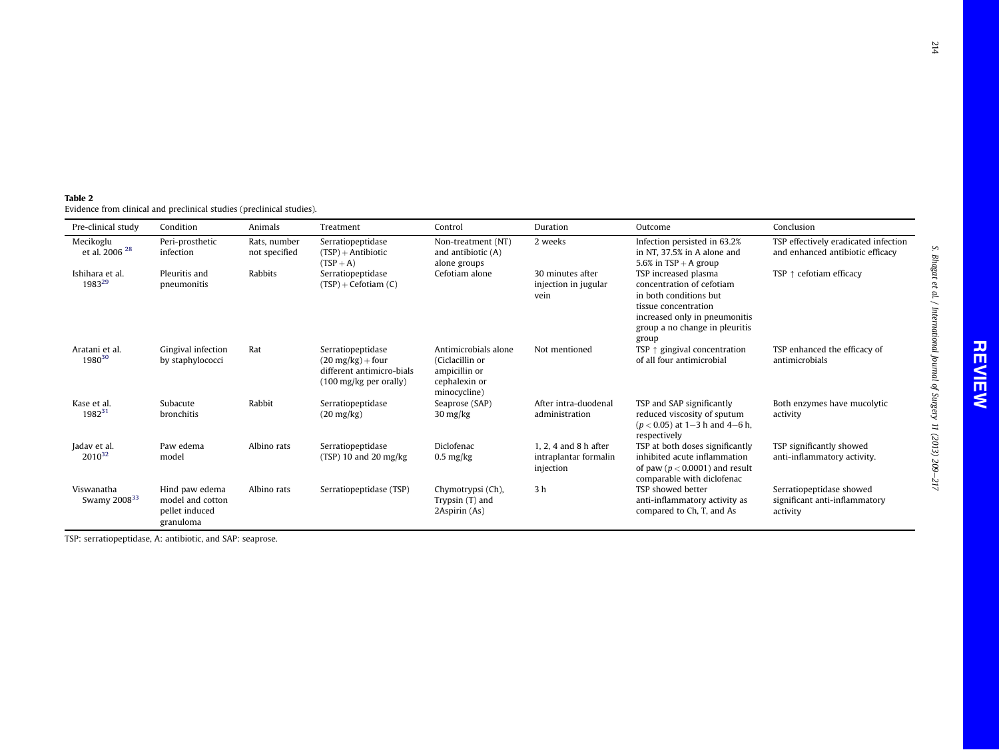S. Bhagat et al. / International Journal of Surgery 11 (2013) 209

S. Bhagat et al. / International Journal of Surgery 11  $(2013)$  209–217

<span id="page-5-0"></span>

| Table 2 |                                                                       |  |
|---------|-----------------------------------------------------------------------|--|
|         | Evidence from clinical and preclinical studies (preclinical studies). |  |

| Pre-clinical study                     | Condition                                                         | Animals                       | Treatment                                                                                               | Control                                                                                   | Duration                                                        | Outcome                                                                                                                                                                         | Conclusion                                                               |
|----------------------------------------|-------------------------------------------------------------------|-------------------------------|---------------------------------------------------------------------------------------------------------|-------------------------------------------------------------------------------------------|-----------------------------------------------------------------|---------------------------------------------------------------------------------------------------------------------------------------------------------------------------------|--------------------------------------------------------------------------|
| Mecikoglu<br>et al. 2006 <sup>28</sup> | Peri-prosthetic<br>infection                                      | Rats, number<br>not specified | Serratiopeptidase<br>$(TSP) + Antibiotic$<br>$(TSP + A)$                                                | Non-treatment (NT)<br>and antibiotic (A)<br>alone groups                                  | 2 weeks                                                         | Infection persisted in 63.2%<br>in NT, 37.5% in A alone and<br>5.6% in $TSP + A$ group                                                                                          | TSP effectively eradicated infection<br>and enhanced antibiotic efficacy |
| Ishihara et al.<br>198329              | Pleuritis and<br>pneumonitis                                      | <b>Rabbits</b>                | Serratiopeptidase<br>$(TSP) + Cefotiam(C)$                                                              | Cefotiam alone                                                                            | 30 minutes after<br>injection in jugular<br>vein                | TSP increased plasma<br>concentration of cefotiam<br>in both conditions but<br>tissue concentration<br>increased only in pneumonitis<br>group a no change in pleuritis<br>group | TSP $\uparrow$ cefotiam efficacy                                         |
| Aratani et al.<br>1980 <sup>30</sup>   | Gingival infection<br>by staphylococci                            | Rat                           | Serratiopeptidase<br>$(20 \text{ mg/kg}) +$ four<br>different antimicro-bials<br>(100 mg/kg per orally) | Antimicrobials alone<br>(Ciclacillin or<br>ampicillin or<br>cephalexin or<br>minocycline) | Not mentioned                                                   | TSP $\uparrow$ gingival concentration<br>of all four antimicrobial                                                                                                              | TSP enhanced the efficacy of<br>antimicrobials                           |
| Kase et al.<br>$1982^{31}$             | Subacute<br>bronchitis                                            | Rabbit                        | Serratiopeptidase<br>$(20 \frac{mg}{kg})$                                                               | Seaprose (SAP)<br>$30 \frac{\text{mg}}{\text{kg}}$                                        | After intra-duodenal<br>administration                          | TSP and SAP significantly<br>reduced viscosity of sputum<br>$(p < 0.05)$ at 1-3 h and 4-6 h,<br>respectively                                                                    | Both enzymes have mucolytic<br>activity                                  |
| Jadav et al.<br>$2010^{32}$            | Paw edema<br>model                                                | Albino rats                   | Serratiopeptidase<br>$(TSP)$ 10 and 20 mg/kg                                                            | <b>Diclofenac</b><br>$0.5 \text{ mg/kg}$                                                  | $1, 2, 4$ and $8$ h after<br>intraplantar formalin<br>injection | TSP at both doses significantly<br>inhibited acute inflammation<br>of paw ( $p < 0.0001$ ) and result<br>comparable with diclofenac                                             | TSP significantly showed<br>anti-inflammatory activity.                  |
| Viswanatha<br>Swamy 2008 <sup>33</sup> | Hind paw edema<br>model and cotton<br>pellet induced<br>granuloma | Albino rats                   | Serratiopeptidase (TSP)                                                                                 | Chymotrypsi (Ch),<br>Trypsin (T) and<br>2Aspirin (As)                                     | 3 <sub>h</sub>                                                  | TSP showed better<br>anti-inflammatory activity as<br>compared to Ch, T, and As                                                                                                 | Serratiopeptidase showed<br>significant anti-inflammatory<br>activity    |

TSP: serratiopeptidase, A: antibiotic, and SAP: seaprose.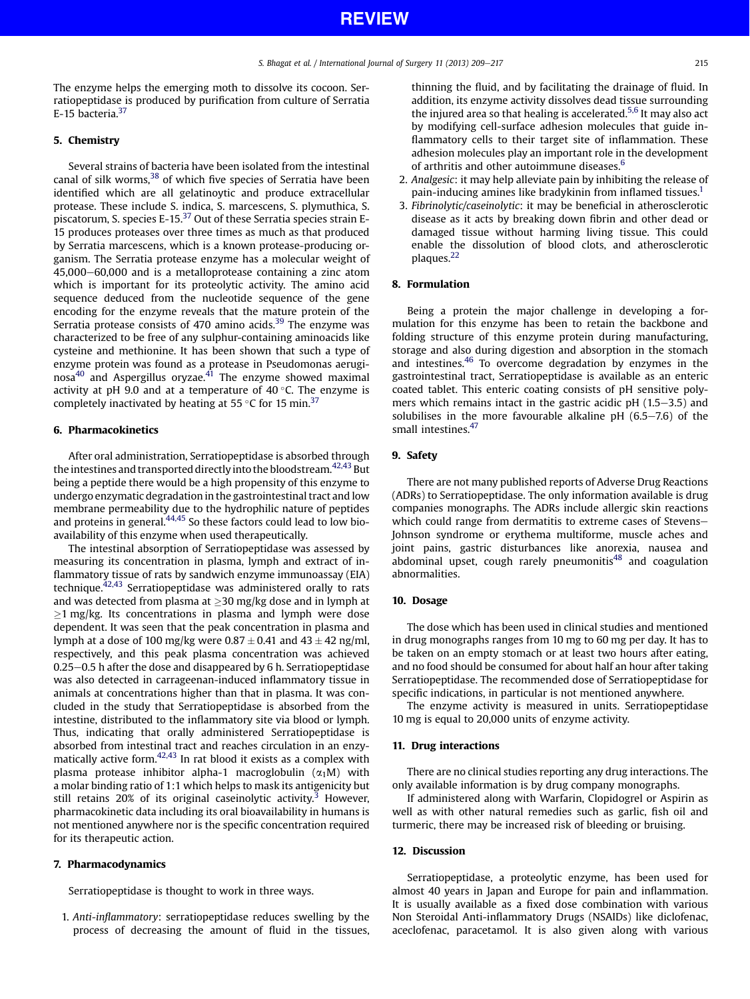The enzyme helps the emerging moth to dissolve its cocoon. Serratiopeptidase is produced by purification from culture of Serratia E-15 bacteria.<sup>[37](#page-7-0)</sup>

## 5. Chemistry

Several strains of bacteria have been isolated from the intestinal canal of silk worms,<sup>[38](#page-7-0)</sup> of which five species of Serratia have been identified which are all gelatinoytic and produce extracellular protease. These include S. indica, S. marcescens, S. plymuthica, S. piscatorum, S. species E-15. $37$  Out of these Serratia species strain E-15 produces proteases over three times as much as that produced by Serratia marcescens, which is a known protease-producing organism. The Serratia protease enzyme has a molecular weight of 45,000–60,000 and is a metalloprotease containing a zinc atom which is important for its proteolytic activity. The amino acid sequence deduced from the nucleotide sequence of the gene encoding for the enzyme reveals that the mature protein of the Serratia protease consists of 470 amino acids.<sup>[39](#page-7-0)</sup> The enzyme was characterized to be free of any sulphur-containing aminoacids like cysteine and methionine. It has been shown that such a type of enzyme protein was found as a protease in Pseudomonas aerugi $n$ osa<sup>[40](#page-8-0)</sup> and Aspergillus oryzae.<sup>41</sup> The enzyme showed maximal activity at pH 9.0 and at a temperature of 40 $\degree$ C. The enzyme is completely inactivated by heating at 55 °C for 15 min.<sup>[37](#page-7-0)</sup>

## 6. Pharmacokinetics

After oral administration, Serratiopeptidase is absorbed through the intestines and transported directly into the bloodstream.<sup>[42,43](#page-8-0)</sup> But being a peptide there would be a high propensity of this enzyme to undergo enzymatic degradation in the gastrointestinal tract and low membrane permeability due to the hydrophilic nature of peptides and proteins in general.<sup>[44,45](#page-8-0)</sup> So these factors could lead to low bioavailability of this enzyme when used therapeutically.

The intestinal absorption of Serratiopeptidase was assessed by measuring its concentration in plasma, lymph and extract of inflammatory tissue of rats by sandwich enzyme immunoassay (EIA) technique. $42,43$  Serratiopeptidase was administered orally to rats and was detected from plasma at  $\geq$ 30 mg/kg dose and in lymph at  $\geq$ 1 mg/kg. Its concentrations in plasma and lymph were dose dependent. It was seen that the peak concentration in plasma and lymph at a dose of 100 mg/kg were  $0.87 \pm 0.41$  and  $43 \pm 42$  ng/ml, respectively, and this peak plasma concentration was achieved  $0.25-0.5$  h after the dose and disappeared by 6 h. Serratiopeptidase was also detected in carrageenan-induced inflammatory tissue in animals at concentrations higher than that in plasma. It was concluded in the study that Serratiopeptidase is absorbed from the intestine, distributed to the inflammatory site via blood or lymph. Thus, indicating that orally administered Serratiopeptidase is absorbed from intestinal tract and reaches circulation in an enzy-matically active form.<sup>[42,43](#page-8-0)</sup> In rat blood it exists as a complex with plasma protease inhibitor alpha-1 macroglobulin  $(\alpha_1 M)$  with a molar binding ratio of 1:1 which helps to mask its antigenicity but still retains  $20\%$  of its original caseinolytic activity.<sup>[3](#page-7-0)</sup> However, pharmacokinetic data including its oral bioavailability in humans is not mentioned anywhere nor is the specific concentration required for its therapeutic action.

#### 7. Pharmacodynamics

Serratiopeptidase is thought to work in three ways.

1. Anti-inflammatory: serratiopeptidase reduces swelling by the process of decreasing the amount of fluid in the tissues,

thinning the fluid, and by facilitating the drainage of fluid. In addition, its enzyme activity dissolves dead tissue surrounding the injured area so that healing is accelerated.<sup>[5,6](#page-7-0)</sup> It may also act by modifying cell-surface adhesion molecules that guide inflammatory cells to their target site of inflammation. These adhesion molecules play an important role in the development of arthritis and other autoimmune diseases.<sup>[6](#page-7-0)</sup>

- 2. Analgesic: it may help alleviate pain by inhibiting the release of pain-inducing amines like bradykinin from inflamed tissues.<sup>[1](#page-7-0)</sup>
- 3. Fibrinolytic/caseinolytic: it may be beneficial in atherosclerotic disease as it acts by breaking down fibrin and other dead or damaged tissue without harming living tissue. This could enable the dissolution of blood clots, and atherosclerotic plaques.<sup>[22](#page-7-0)</sup>

## 8. Formulation

Being a protein the major challenge in developing a formulation for this enzyme has been to retain the backbone and folding structure of this enzyme protein during manufacturing, storage and also during digestion and absorption in the stomach and intestines. $46$  To overcome degradation by enzymes in the gastrointestinal tract, Serratiopeptidase is available as an enteric coated tablet. This enteric coating consists of pH sensitive polymers which remains intact in the gastric acidic  $pH(1.5-3.5)$  and solubilises in the more favourable alkaline pH  $(6.5-7.6)$  of the small intestines.<sup>47</sup>

## 9. Safety

There are not many published reports of Adverse Drug Reactions (ADRs) to Serratiopeptidase. The only information available is drug companies monographs. The ADRs include allergic skin reactions which could range from dermatitis to extreme cases of Stevens-Johnson syndrome or erythema multiforme, muscle aches and joint pains, gastric disturbances like anorexia, nausea and abdominal upset, cough rarely pneumonitis<sup>48</sup> and coagulation abnormalities.

## 10. Dosage

The dose which has been used in clinical studies and mentioned in drug monographs ranges from 10 mg to 60 mg per day. It has to be taken on an empty stomach or at least two hours after eating, and no food should be consumed for about half an hour after taking Serratiopeptidase. The recommended dose of Serratiopeptidase for specific indications, in particular is not mentioned anywhere.

The enzyme activity is measured in units. Serratiopeptidase 10 mg is equal to 20,000 units of enzyme activity.

## 11. Drug interactions

There are no clinical studies reporting any drug interactions. The only available information is by drug company monographs.

If administered along with Warfarin, Clopidogrel or Aspirin as well as with other natural remedies such as garlic, fish oil and turmeric, there may be increased risk of bleeding or bruising.

#### 12. Discussion

Serratiopeptidase, a proteolytic enzyme, has been used for almost 40 years in Japan and Europe for pain and inflammation. It is usually available as a fixed dose combination with various Non Steroidal Anti-inflammatory Drugs (NSAIDs) like diclofenac, aceclofenac, paracetamol. It is also given along with various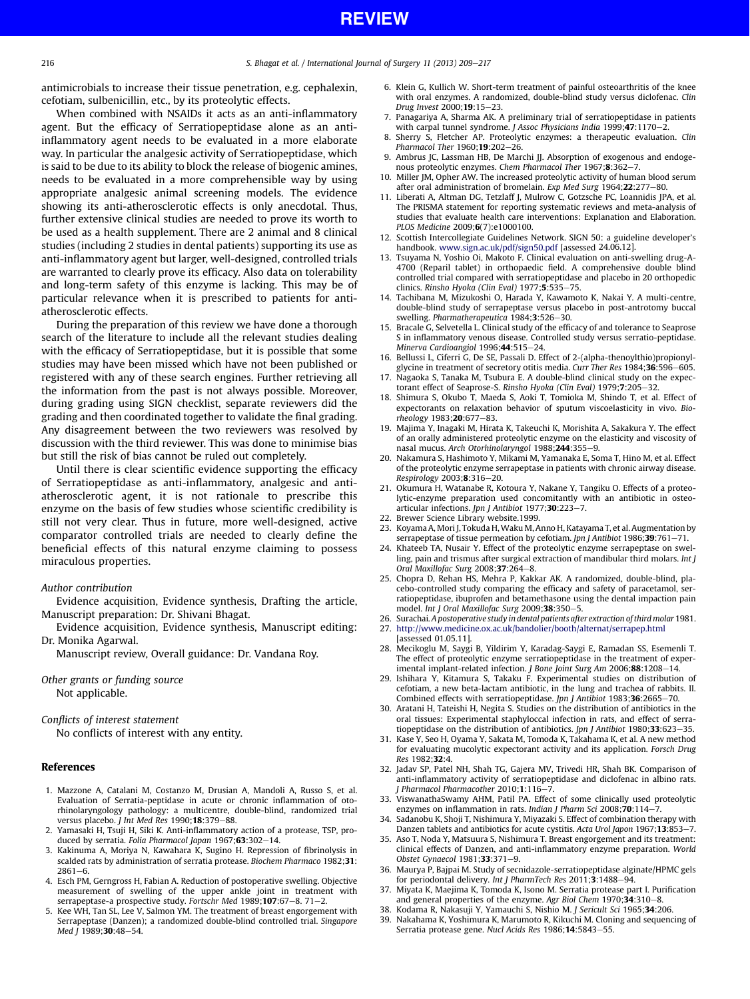<span id="page-7-0"></span>antimicrobials to increase their tissue penetration, e.g. cephalexin, cefotiam, sulbenicillin, etc., by its proteolytic effects.

When combined with NSAIDs it acts as an anti-inflammatory agent. But the efficacy of Serratiopeptidase alone as an antiinflammatory agent needs to be evaluated in a more elaborate way. In particular the analgesic activity of Serratiopeptidase, which is said to be due to its ability to block the release of biogenic amines, needs to be evaluated in a more comprehensible way by using appropriate analgesic animal screening models. The evidence showing its anti-atherosclerotic effects is only anecdotal. Thus, further extensive clinical studies are needed to prove its worth to be used as a health supplement. There are 2 animal and 8 clinical studies (including 2 studies in dental patients) supporting its use as anti-inflammatory agent but larger, well-designed, controlled trials are warranted to clearly prove its efficacy. Also data on tolerability and long-term safety of this enzyme is lacking. This may be of particular relevance when it is prescribed to patients for antiatherosclerotic effects.

During the preparation of this review we have done a thorough search of the literature to include all the relevant studies dealing with the efficacy of Serratiopeptidase, but it is possible that some studies may have been missed which have not been published or registered with any of these search engines. Further retrieving all the information from the past is not always possible. Moreover, during grading using SIGN checklist, separate reviewers did the grading and then coordinated together to validate the final grading. Any disagreement between the two reviewers was resolved by discussion with the third reviewer. This was done to minimise bias but still the risk of bias cannot be ruled out completely.

Until there is clear scientific evidence supporting the efficacy of Serratiopeptidase as anti-inflammatory, analgesic and antiatherosclerotic agent, it is not rationale to prescribe this enzyme on the basis of few studies whose scientific credibility is still not very clear. Thus in future, more well-designed, active comparator controlled trials are needed to clearly define the beneficial effects of this natural enzyme claiming to possess miraculous properties.

## Author contribution

Evidence acquisition, Evidence synthesis, Drafting the article, Manuscript preparation: Dr. Shivani Bhagat.

Evidence acquisition, Evidence synthesis, Manuscript editing: Dr. Monika Agarwal.

Manuscript review, Overall guidance: Dr. Vandana Roy.

Other grants or funding source Not applicable.

Conflicts of interest statement

No conflicts of interest with any entity.

#### References

- 1. Mazzone A, Catalani M, Costanzo M, Drusian A, Mandoli A, Russo S, et al. Evaluation of Serratia-peptidase in acute or chronic inflammation of otorhinolaryngology pathology: a multicentre, double-blind, randomized trial versus placebo. J Int Med Res 1990;18:379-88.
- 2. Yamasaki H, Tsuji H, Siki K. Anti-inflammatory action of a protease, TSP, produced by serratia. Folia Pharmacol Japan  $1967;63:302-14$ .
- 3. Kakinuma A, Moriya N, Kawahara K, Sugino H. Repression of fibrinolysis in scalded rats by administration of serratia protease. Biochem Pharmaco 1982;31:  $2861 - 6$
- 4. Esch PM, Gerngross H, Fabian A. Reduction of postoperative swelling. Objective measurement of swelling of the upper ankle joint in treatment with serrapeptase-a prospective study. Fortschr Med 1989;107:67-8. 71-2.
- 5. Kee WH, Tan SL, Lee V, Salmon YM. The treatment of breast engorgement with Serrapeptase (Danzen); a randomized double-blind controlled trial. Singapore Med J 1989;30:48-54.
- 6. Klein G, Kullich W. Short-term treatment of painful osteoarthritis of the knee with oral enzymes. A randomized, double-blind study versus diclofenac. Clin Drug Invest 2000:19:15-23.
- 7. Panagariya A, Sharma AK. A preliminary trial of serratiopeptidase in patients with carpal tunnel syndrome. *J Assoc Physicians India* 1999; $47:1170-2$ .
- 8. Sherry S, Fletcher AP. Proteolytic enzymes: a therapeutic evaluation. Clin Pharmacol Ther  $1960; 19:202-26$ .
- 9. Ambrus JC, Lassman HB, De Marchi JJ. Absorption of exogenous and endogenous proteolytic enzymes. Chem Pharmacol Ther 1967:8:362-7. 10. Miller JM, Opher AW. The increased proteolytic activity of human blood serum
- after oral administration of bromelain. Exp Med Surg 1964:22:277-80.
- 11. Liberati A, Altman DG, Tetzlaff J, Mulrow C, Gotzsche PC, Loannidis JPA, et al. The PRISMA statement for reporting systematic reviews and meta-analysis of studies that evaluate health care interventions: Explanation and Elaboration. PLOS Medicine 2009;6(7):e1000100.
- 12. Scottish Intercollegiate Guidelines Network. SIGN 50: a guideline developer's handbook. [www.sign.ac.uk/pdf/sign50.pdf](http://www.sign.ac.uk/pdf/sign50.pdf) [assessed 24.06.12].
- 13. Tsuyama N, Yoshio Oi, Makoto F. Clinical evaluation on anti-swelling drug-A-4700 (Reparil tablet) in orthopaedic field. A comprehensive double blind controlled trial compared with serratiopeptidase and placebo in 20 orthopedic clinics. Rinsho Hyoka (Clin Eval)  $1977:5:535-75.$
- 14. Tachibana M, Mizukoshi O, Harada Y, Kawamoto K, Nakai Y. A multi-centre, double-blind study of serrapeptase versus placebo in post-antrotomy buccal swelling. Pharmatherapeutica 1984;3:526-30.
- 15. Bracale G, Selvetella L. Clinical study of the efficacy of and tolerance to Seaprose S in inflammatory venous disease. Controlled study versus serratio-peptidase. Minerva Cardioangiol 1996;44:515-24.
- 16. Bellussi L, Ciferri G, De SE, Passali D. Effect of 2-(alpha-thenoylthio)propionylglycine in treatment of secretory otitis media. Curr Ther Res 1984;36:596-605.
- 17. Nagaoka S, Tanaka M, Tsubura E. A double-blind clinical study on the expectorant effect of Seaprose-S. Rinsho Hyoka (Clin Eval) 1979;7:205-32.
- 18. Shimura S, Okubo T, Maeda S, Aoki T, Tomioka M, Shindo T, et al. Effect of expectorants on relaxation behavior of sputum viscoelasticity in vivo. Biorheology  $1983;20:677-83$ .
- 19. Majima Y, Inagaki M, Hirata K, Takeuchi K, Morishita A, Sakakura Y. The effect of an orally administered proteolytic enzyme on the elasticity and viscosity of nasal mucus. Arch Otorhinolaryngol 1988;244:355-9.
- 20. Nakamura S, Hashimoto Y, Mikami M, Yamanaka E, Soma T, Hino M, et al. Effect of the proteolytic enzyme serrapeptase in patients with chronic airway disease. Respirology 2003;8:316-20.
- 21. Okumura H, Watanabe R, Kotoura Y, Nakane Y, Tangiku O. Effects of a proteolytic-enzyme preparation used concomitantly with an antibiotic in osteoarticular infections. Jpn J Antibiot 1977;30:223-7.
- 22. Brewer Science Library website.1999.
- 23. Koyama A, Mori J, Tokuda H,Waku M, Anno H, Katayama T, et al. Augmentation by serrapeptase of tissue permeation by cefotiam. Jpn J Antibiot 1986;39:761-71.
- 24. Khateeb TA, Nusair Y. Effect of the proteolytic enzyme serrapeptase on swelling, pain and trismus after surgical extraction of mandibular third molars. Int J Oral Maxillofac Surg 2008;37:264-8.
- 25. Chopra D, Rehan HS, Mehra P, Kakkar AK. A randomized, double-blind, placebo-controlled study comparing the efficacy and safety of paracetamol, serratiopeptidase, ibuprofen and betamethasone using the dental impaction pain model. Int J Oral Maxillofac Surg 2009;38:350-5.
- 26. Surachai. A postoperative study in dental patients after extraction of third molar 1981. 27. <http://www.medicine.ox.ac.uk/bandolier/booth/alternat/serrapep.html>
- [assessed 01.05.11].
- 28. Mecikoglu M, Saygi B, Yildirim Y, Karadag-Saygi E, Ramadan SS, Esemenli T. The effect of proteolytic enzyme serratiopeptidase in the treatment of experimental implant-related infection. J Bone Joint Surg Am 2006;88:1208-14.
- 29. Ishihara Y, Kitamura S, Takaku F. Experimental studies on distribution of cefotiam, a new beta-lactam antibiotic, in the lung and trachea of rabbits. II. Combined effects with serratiopeptidase. Jpn J Antibiot 1983;36:2665-70.
- 30. Aratani H, Tateishi H, Negita S. Studies on the distribution of antibiotics in the oral tissues: Experimental staphyloccal infection in rats, and effect of serratiopeptidase on the distribution of antibiotics. Jpn J Antibiot 1980;33:623-35.
- 31. Kase Y, Seo H, Oyama Y, Sakata M, Tomoda K, Takahama K, et al. A new method for evaluating mucolytic expectorant activity and its application. Forsch Drug Res 1982;32:4.
- 32. Jadav SP, Patel NH, Shah TG, Gajera MV, Trivedi HR, Shah BK. Comparison of anti-inflammatory activity of serratiopeptidase and diclofenac in albino rats. J Pharmacol Pharmacother 2010;1:116-7.
- 33. ViswanathaSwamy AHM, Patil PA. Effect of some clinically used proteolytic enzymes on inflammation in rats. Indian J Pharm Sci 2008;70:114-7.
- 34. Sadanobu K, Shoji T, Nishimura Y, Miyazaki S. Effect of combination therapy with Danzen tablets and antibiotics for acute cystitis. Acta Urol Japon 1967;13:853-7.
- 35. Aso T, Noda Y, Matsuura S, Nishimura T. Breast engorgement and its treatment: clinical effects of Danzen, and anti-inflammatory enzyme preparation. World Obstet Gynaecol 1981;33:371-9.
- 36. Maurya P, Bajpai M. Study of secnidazole-serratiopeptidase alginate/HPMC gels for periodontal delivery. Int J PharmTech Res  $2011; 3:1488 - 94$ .
- 37. Miyata K, Maejima K, Tomoda K, Isono M. Serratia protease part I. Purification and general properties of the enzyme. Agr Biol Chem 1970;34:310-8.
- 38. Kodama R, Nakasuji Y, Yamauchi S, Nishio M. J Sericult Sci 1965;34:206.
- 39. Nakahama K, Yoshimura K, Marumoto R, Kikuchi M. Cloning and sequencing of Serratia protease gene. Nucl Acids Res 1986;14:5843-55.